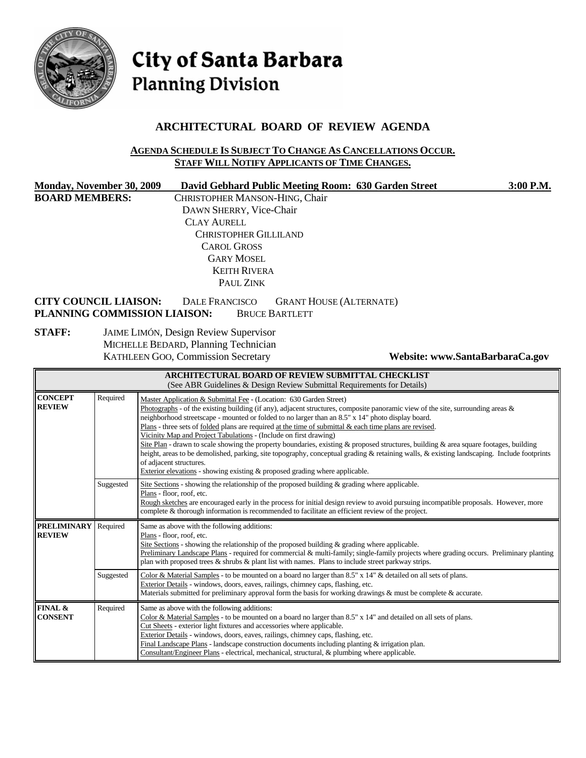

# City of Santa Barbara **Planning Division**

# **ARCHITECTURAL BOARD OF REVIEW AGENDA**

#### **AGENDA SCHEDULE IS SUBJECT TO CHANGE AS CANCELLATIONS OCCUR. STAFF WILL NOTIFY APPLICANTS OF TIME CHANGES.**

| Monday, November 30, 2009<br><b>BOARD MEMBERS:</b> |           | David Gebhard Public Meeting Room: 630 Garden Street<br>3:00 P.M.<br>CHRISTOPHER MANSON-HING, Chair<br>DAWN SHERRY, Vice-Chair<br><b>CLAY AURELL</b><br><b>CHRISTOPHER GILLILAND</b><br><b>CAROL GROSS</b><br><b>GARY MOSEL</b><br><b>KEITH RIVERA</b><br>PAUL ZINK                                                                                                                                                                                                                                                                                                                                                                                                                                                                                                                                                                                                                                  |  |  |
|----------------------------------------------------|-----------|------------------------------------------------------------------------------------------------------------------------------------------------------------------------------------------------------------------------------------------------------------------------------------------------------------------------------------------------------------------------------------------------------------------------------------------------------------------------------------------------------------------------------------------------------------------------------------------------------------------------------------------------------------------------------------------------------------------------------------------------------------------------------------------------------------------------------------------------------------------------------------------------------|--|--|
| <b>CITY COUNCIL LIAISON:</b>                       |           | <b>DALE FRANCISCO</b><br><b>GRANT HOUSE (ALTERNATE)</b><br>PLANNING COMMISSION LIAISON:<br><b>BRUCE BARTLETT</b>                                                                                                                                                                                                                                                                                                                                                                                                                                                                                                                                                                                                                                                                                                                                                                                     |  |  |
| <b>STAFF:</b>                                      |           | <b>JAIME LIMÓN, Design Review Supervisor</b><br>MICHELLE BEDARD, Planning Technician<br>KATHLEEN GOO, Commission Secretary<br>Website: www.SantaBarbaraCa.gov                                                                                                                                                                                                                                                                                                                                                                                                                                                                                                                                                                                                                                                                                                                                        |  |  |
|                                                    |           | ARCHITECTURAL BOARD OF REVIEW SUBMITTAL CHECKLIST<br>(See ABR Guidelines & Design Review Submittal Requirements for Details)                                                                                                                                                                                                                                                                                                                                                                                                                                                                                                                                                                                                                                                                                                                                                                         |  |  |
| <b>CONCEPT</b><br><b>REVIEW</b>                    | Required  | Master Application & Submittal Fee - (Location: 630 Garden Street)<br>Photographs - of the existing building (if any), adjacent structures, composite panoramic view of the site, surrounding areas $\&$<br>neighborhood streetscape - mounted or folded to no larger than an 8.5" x 14" photo display board.<br>Plans - three sets of folded plans are required at the time of submittal $\&$ each time plans are revised.<br>Vicinity Map and Project Tabulations - (Include on first drawing)<br>Site Plan - drawn to scale showing the property boundaries, existing & proposed structures, building & area square footages, building<br>height, areas to be demolished, parking, site topography, conceptual grading & retaining walls, & existing landscaping. Include footprints<br>of adjacent structures.<br>Exterior elevations - showing existing $\&$ proposed grading where applicable. |  |  |
|                                                    | Suggested | Site Sections - showing the relationship of the proposed building & grading where applicable.<br>Plans - floor, roof, etc.<br>Rough sketches are encouraged early in the process for initial design review to avoid pursuing incompatible proposals. However, more<br>complete & thorough information is recommended to facilitate an efficient review of the project.                                                                                                                                                                                                                                                                                                                                                                                                                                                                                                                               |  |  |
| <b>PRELIMINARY</b><br><b>REVIEW</b>                | Required  | Same as above with the following additions:<br>Plans - floor, roof, etc.<br>Site Sections - showing the relationship of the proposed building & grading where applicable.<br>Preliminary Landscape Plans - required for commercial & multi-family; single-family projects where grading occurs. Preliminary planting<br>plan with proposed trees & shrubs & plant list with names. Plans to include street parkway strips.                                                                                                                                                                                                                                                                                                                                                                                                                                                                           |  |  |
|                                                    | Suggested | Color & Material Samples - to be mounted on a board no larger than $8.5"$ x $14"$ & detailed on all sets of plans.<br>Exterior Details - windows, doors, eaves, railings, chimney caps, flashing, etc.<br>Materials submitted for preliminary approval form the basis for working drawings $\&$ must be complete $\&$ accurate.                                                                                                                                                                                                                                                                                                                                                                                                                                                                                                                                                                      |  |  |
| FINAL &<br><b>CONSENT</b>                          | Required  | Same as above with the following additions:<br>Color & Material Samples - to be mounted on a board no larger than 8.5" x 14" and detailed on all sets of plans.<br>Cut Sheets - exterior light fixtures and accessories where applicable.<br>Exterior Details - windows, doors, eaves, railings, chimney caps, flashing, etc.<br>Final Landscape Plans - landscape construction documents including planting $&$ irrigation plan.<br>Consultant/Engineer Plans - electrical, mechanical, structural, & plumbing where applicable.                                                                                                                                                                                                                                                                                                                                                                    |  |  |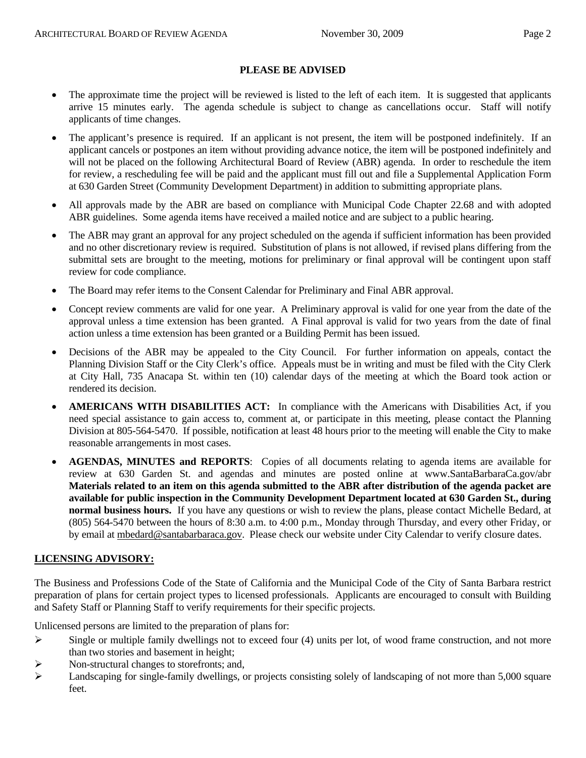#### **PLEASE BE ADVISED**

- The approximate time the project will be reviewed is listed to the left of each item. It is suggested that applicants arrive 15 minutes early. The agenda schedule is subject to change as cancellations occur. Staff will notify applicants of time changes.
- The applicant's presence is required. If an applicant is not present, the item will be postponed indefinitely. If an applicant cancels or postpones an item without providing advance notice, the item will be postponed indefinitely and will not be placed on the following Architectural Board of Review (ABR) agenda. In order to reschedule the item for review, a rescheduling fee will be paid and the applicant must fill out and file a Supplemental Application Form at 630 Garden Street (Community Development Department) in addition to submitting appropriate plans.
- All approvals made by the ABR are based on compliance with Municipal Code Chapter 22.68 and with adopted ABR guidelines. Some agenda items have received a mailed notice and are subject to a public hearing.
- The ABR may grant an approval for any project scheduled on the agenda if sufficient information has been provided and no other discretionary review is required. Substitution of plans is not allowed, if revised plans differing from the submittal sets are brought to the meeting, motions for preliminary or final approval will be contingent upon staff review for code compliance.
- The Board may refer items to the Consent Calendar for Preliminary and Final ABR approval.
- Concept review comments are valid for one year. A Preliminary approval is valid for one year from the date of the approval unless a time extension has been granted. A Final approval is valid for two years from the date of final action unless a time extension has been granted or a Building Permit has been issued.
- Decisions of the ABR may be appealed to the City Council. For further information on appeals, contact the Planning Division Staff or the City Clerk's office. Appeals must be in writing and must be filed with the City Clerk at City Hall, 735 Anacapa St. within ten (10) calendar days of the meeting at which the Board took action or rendered its decision.
- **AMERICANS WITH DISABILITIES ACT:** In compliance with the Americans with Disabilities Act, if you need special assistance to gain access to, comment at, or participate in this meeting, please contact the Planning Division at 805-564-5470. If possible, notification at least 48 hours prior to the meeting will enable the City to make reasonable arrangements in most cases.
- **AGENDAS, MINUTES and REPORTS**: Copies of all documents relating to agenda items are available for review at 630 Garden St. and agendas and minutes are posted online at [www.SantaBarbaraCa.gov/abr](http://www.santabarbaraca.gov/abr) **Materials related to an item on this agenda submitted to the ABR after distribution of the agenda packet are available for public inspection in the Community Development Department located at 630 Garden St., during normal business hours.** If you have any questions or wish to review the plans, please contact Michelle Bedard, at (805) 564-5470 between the hours of 8:30 a.m. to 4:00 p.m., Monday through Thursday, and every other Friday, or by email at [mbedard@santabarbaraca.gov](mailto:mbedard@santabarbaraca.gov). Please check our website under City Calendar to verify closure dates.

### **LICENSING ADVISORY:**

The Business and Professions Code of the State of California and the Municipal Code of the City of Santa Barbara restrict preparation of plans for certain project types to licensed professionals. Applicants are encouraged to consult with Building and Safety Staff or Planning Staff to verify requirements for their specific projects.

Unlicensed persons are limited to the preparation of plans for:

- $\triangleright$  Single or multiple family dwellings not to exceed four (4) units per lot, of wood frame construction, and not more than two stories and basement in height;
- ¾ Non-structural changes to storefronts; and,
- $\blacktriangleright$  Landscaping for single-family dwellings, or projects consisting solely of landscaping of not more than 5,000 square feet.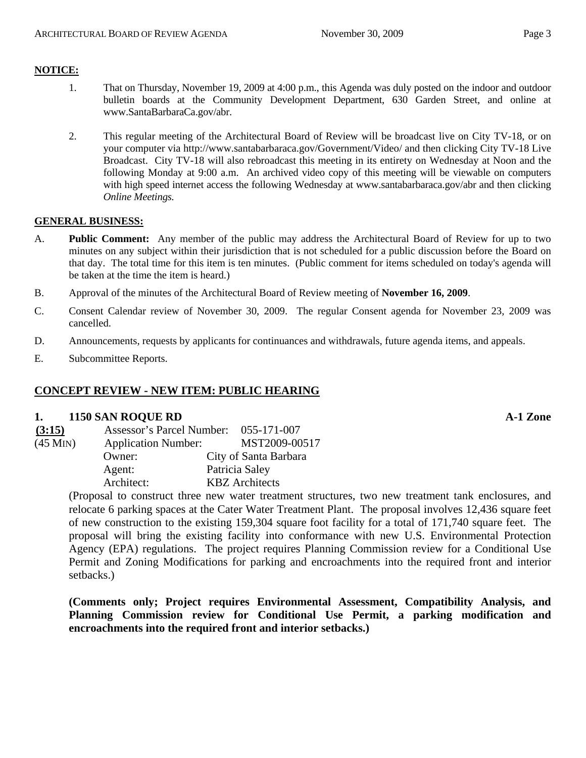## **NOTICE:**

- 1. That on Thursday, November 19, 2009 at 4:00 p.m., this Agenda was duly posted on the indoor and outdoor bulletin boards at the Community Development Department, 630 Garden Street, and online at [www.SantaBarbaraCa.gov/abr.](http://www.santabarbaraca.gov/abr)
- 2. This regular meeting of the Architectural Board of Review will be broadcast live on City TV-18, or on your computer via <http://www.santabarbaraca.gov/Government/Video/> and then clicking City TV-18 Live Broadcast. City TV-18 will also rebroadcast this meeting in its entirety on Wednesday at Noon and the following Monday at 9:00 a.m. An archived video copy of this meeting will be viewable on computers with high speed internet access the following Wednesday at [www.santabarbaraca.gov/abr](http://www.santabarbaraca.gov/abr) and then clicking *Online Meetings.*

### **GENERAL BUSINESS:**

- A. **Public Comment:** Any member of the public may address the Architectural Board of Review for up to two minutes on any subject within their jurisdiction that is not scheduled for a public discussion before the Board on that day. The total time for this item is ten minutes. (Public comment for items scheduled on today's agenda will be taken at the time the item is heard.)
- B. Approval of the minutes of the Architectural Board of Review meeting of **November 16, 2009**.
- C. Consent Calendar review of November 30, 2009. The regular Consent agenda for November 23, 2009 was cancelled.
- D. Announcements, requests by applicants for continuances and withdrawals, future agenda items, and appeals.
- E. Subcommittee Reports.

### **CONCEPT REVIEW - NEW ITEM: PUBLIC HEARING**

### **1. 1150 SAN ROQUE RD A-1 Zone**

| (3:15)                    | <b>Assessor's Parcel Number:</b> | 055-171-007           |
|---------------------------|----------------------------------|-----------------------|
| $(45$ M <sub>IN</sub> $)$ | <b>Application Number:</b>       | MST2009-00517         |
|                           | Owner:                           | City of Santa Barbara |
|                           | Agent:                           | Patricia Saley        |
|                           | Architect:                       | <b>KBZ</b> Architects |

(Proposal to construct three new water treatment structures, two new treatment tank enclosures, and relocate 6 parking spaces at the Cater Water Treatment Plant. The proposal involves 12,436 square feet of new construction to the existing 159,304 square foot facility for a total of 171,740 square feet. The proposal will bring the existing facility into conformance with new U.S. Environmental Protection Agency (EPA) regulations. The project requires Planning Commission review for a Conditional Use Permit and Zoning Modifications for parking and encroachments into the required front and interior setbacks.)

**(Comments only; Project requires Environmental Assessment, Compatibility Analysis, and Planning Commission review for Conditional Use Permit, a parking modification and encroachments into the required front and interior setbacks.)**